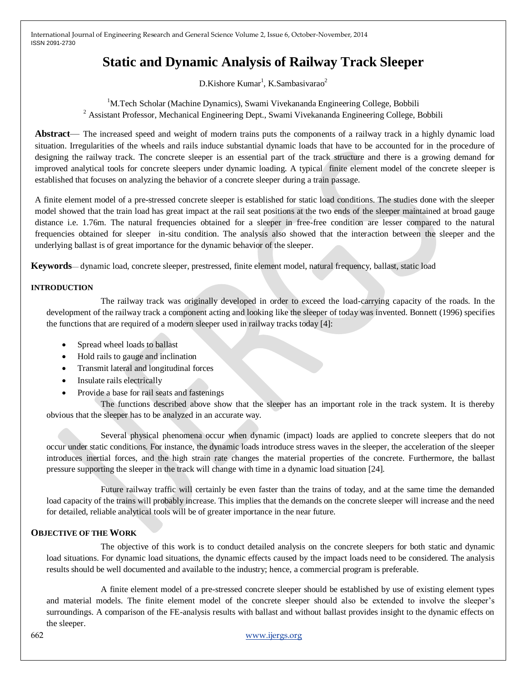# **Static and Dynamic Analysis of Railway Track Sleeper**

D.Kishore Kumar<sup>1</sup>, K.Sambasivarao<sup>2</sup>

<sup>1</sup>M.Tech Scholar (Machine Dynamics), Swami Vivekananda Engineering College, Bobbili <sup>2</sup> Assistant Professor, Mechanical Engineering Dept., Swami Vivekananda Engineering College, Bobbili

**Abstract**— The increased speed and weight of modern trains puts the components of a railway track in a highly dynamic load situation. Irregularities of the wheels and rails induce substantial dynamic loads that have to be accounted for in the procedure of designing the railway track. The concrete sleeper is an essential part of the track structure and there is a growing demand for improved analytical tools for concrete sleepers under dynamic loading. A typical finite element model of the concrete sleeper is established that focuses on analyzing the behavior of a concrete sleeper during a train passage.

A finite element model of a pre-stressed concrete sleeper is established for static load conditions. The studies done with the sleeper model showed that the train load has great impact at the rail seat positions at the two ends of the sleeper maintained at broad gauge distance i.e. 1.76m. The natural frequencies obtained for a sleeper in free-free condition are lesser compared to the natural frequencies obtained for sleeper in-situ condition. The analysis also showed that the interaction between the sleeper and the underlying ballast is of great importance for the dynamic behavior of the sleeper.

**Keywords**— dynamic load, concrete sleeper, prestressed, finite element model, natural frequency, ballast, static load

## **INTRODUCTION**

The railway track was originally developed in order to exceed the load-carrying capacity of the roads. In the development of the railway track a component acting and looking like the sleeper of today was invented. Bonnett (1996) specifies the functions that are required of a modern sleeper used in railway tracks today [4]:

- Spread wheel loads to ballast
- Hold rails to gauge and inclination
- Transmit lateral and longitudinal forces
- Insulate rails electrically
- Provide a base for rail seats and fastenings

The functions described above show that the sleeper has an important role in the track system. It is thereby obvious that the sleeper has to be analyzed in an accurate way.

Several physical phenomena occur when dynamic (impact) loads are applied to concrete sleepers that do not occur under static conditions. For instance, the dynamic loads introduce stress waves in the sleeper, the acceleration of the sleeper introduces inertial forces, and the high strain rate changes the material properties of the concrete. Furthermore, the ballast pressure supporting the sleeper in the track will change with time in a dynamic load situation [24].

Future railway traffic will certainly be even faster than the trains of today, and at the same time the demanded load capacity of the trains will probably increase. This implies that the demands on the concrete sleeper will increase and the need for detailed, reliable analytical tools will be of greater importance in the near future.

# **OBJECTIVE OF THE WORK**

The objective of this work is to conduct detailed analysis on the concrete sleepers for both static and dynamic load situations. For dynamic load situations, the dynamic effects caused by the impact loads need to be considered. The analysis results should be well documented and available to the industry; hence, a commercial program is preferable.

A finite element model of a pre-stressed concrete sleeper should be established by use of existing element types and material models. The finite element model of the concrete sleeper should also be extended to involve the sleeper's surroundings. A comparison of the FE-analysis results with ballast and without ballast provides insight to the dynamic effects on the sleeper.

662 www.ijergs.org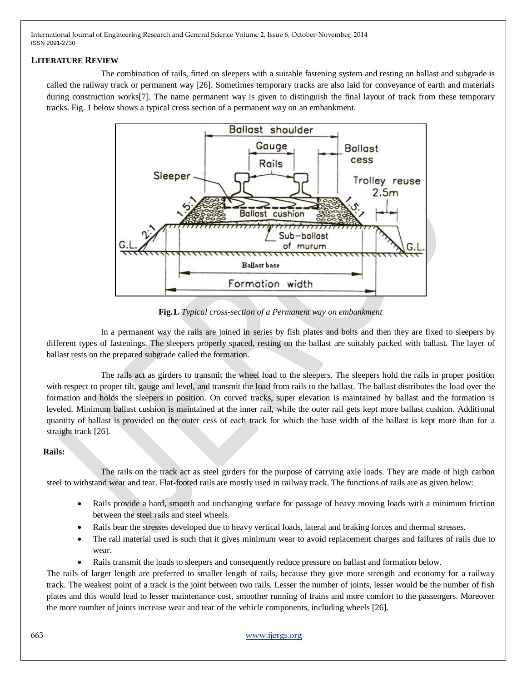## **LITERATURE REVIEW**

The combination of rails, fitted on sleepers with a suitable fastening system and resting on ballast and subgrade is called the railway track or permanent way [26]. Sometimes temporary tracks are also laid for conveyance of earth and materials during construction works<sup>[7]</sup>. The name permanent way is given to distinguish the final layout of track from these temporary tracks. Fig. 1 below shows a typical cross section of a permanent way on an embankment.



**Fig.1.** *Typical cross-section of a Permanent way on embankment*

In a permanent way the rails are joined in series by fish plates and bolts and then they are fixed to sleepers by different types of fastenings. The sleepers properly spaced, resting on the ballast are suitably packed with ballast. The layer of ballast rests on the prepared subgrade called the formation.

The rails act as girders to transmit the wheel load to the sleepers. The sleepers hold the rails in proper position with respect to proper tilt, gauge and level, and transmit the load from rails to the ballast. The ballast distributes the load over the formation and holds the sleepers in position. On curved tracks, super elevation is maintained by ballast and the formation is leveled. Minimum ballast cushion is maintained at the inner rail, while the outer rail gets kept more ballast cushion. Additional quantity of ballast is provided on the outer cess of each track for which the base width of the ballast is kept more than for a straight track [26].

# **Rails:**

The rails on the track act as steel girders for the purpose of carrying axle loads. They are made of high carbon steel to withstand wear and tear. Flat-footed rails are mostly used in railway track. The functions of rails are as given below:

- Rails provide a hard, smooth and unchanging surface for passage of heavy moving loads with a minimum friction between the steel rails and steel wheels.
- Rails bear the stresses developed due to heavy vertical loads, lateral and braking forces and thermal stresses.
- The rail material used is such that it gives minimum wear to avoid replacement charges and failures of rails due to wear.
- Rails transmit the loads to sleepers and consequently reduce pressure on ballast and formation below.

The rails of larger length are preferred to smaller length of rails, because they give more strength and economy for a railway track. The weakest point of a track is the joint between two rails. Lesser the number of joints, lesser would be the number of fish plates and this would lead to lesser maintenance cost, smoother running of trains and more comfort to the passengers. Moreover the more number of joints increase wear and tear of the vehicle components, including wheels [26].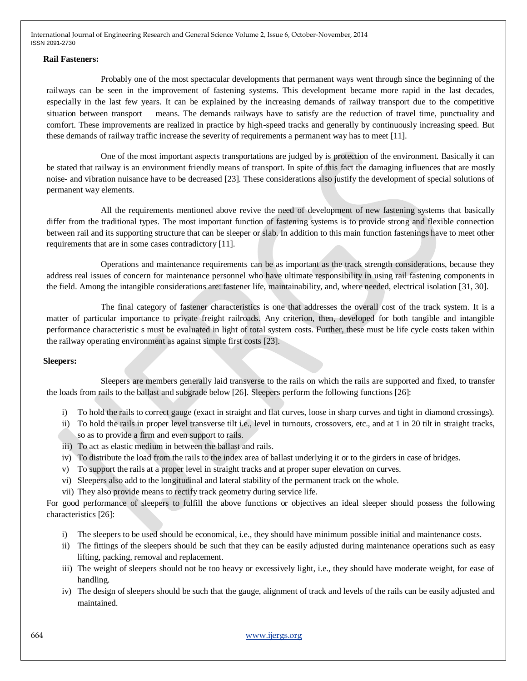#### **Rail Fasteners:**

Probably one of the most spectacular developments that permanent ways went through since the beginning of the railways can be seen in the improvement of fastening systems. This development became more rapid in the last decades, especially in the last few years. It can be explained by the increasing demands of railway transport due to the competitive situation between transport means. The demands railways have to satisfy are the reduction of travel time, punctuality and comfort. These improvements are realized in practice by high-speed tracks and generally by continuously increasing speed. But these demands of railway traffic increase the severity of requirements a permanent way has to meet [11].

One of the most important aspects transportations are judged by is protection of the environment. Basically it can be stated that railway is an environment friendly means of transport. In spite of this fact the damaging influences that are mostly noise- and vibration nuisance have to be decreased [23]. These considerations also justify the development of special solutions of permanent way elements.

All the requirements mentioned above revive the need of development of new fastening systems that basically differ from the traditional types. The most important function of fastening systems is to provide strong and flexible connection between rail and its supporting structure that can be sleeper or slab. In addition to this main function fastenings have to meet other requirements that are in some cases contradictory [11].

Operations and maintenance requirements can be as important as the track strength considerations, because they address real issues of concern for maintenance personnel who have ultimate responsibility in using rail fastening components in the field. Among the intangible considerations are: fastener life, maintainability, and, where needed, electrical isolation [31, 30].

The final category of fastener characteristics is one that addresses the overall cost of the track system. It is a matter of particular importance to private freight railroads. Any criterion, then, developed for both tangible and intangible performance characteristic s must be evaluated in light of total system costs. Further, these must be life cycle costs taken within the railway operating environment as against simple first costs [23].

## **Sleepers:**

Sleepers are members generally laid transverse to the rails on which the rails are supported and fixed, to transfer the loads from rails to the ballast and subgrade below [26]. Sleepers perform the following functions [26]:

- i) To hold the rails to correct gauge (exact in straight and flat curves, loose in sharp curves and tight in diamond crossings).
- ii) To hold the rails in proper level transverse tilt i.e., level in turnouts, crossovers, etc., and at 1 in 20 tilt in straight tracks, so as to provide a firm and even support to rails.
- iii) To act as elastic medium in between the ballast and rails.
- iv) To distribute the load from the rails to the index area of ballast underlying it or to the girders in case of bridges.
- v) To support the rails at a proper level in straight tracks and at proper super elevation on curves.
- vi) Sleepers also add to the longitudinal and lateral stability of the permanent track on the whole.
- vii) They also provide means to rectify track geometry during service life.

For good performance of sleepers to fulfill the above functions or objectives an ideal sleeper should possess the following characteristics [26]:

- i) The sleepers to be used should be economical, i.e., they should have minimum possible initial and maintenance costs.
- ii) The fittings of the sleepers should be such that they can be easily adjusted during maintenance operations such as easy lifting, packing, removal and replacement.
- iii) The weight of sleepers should not be too heavy or excessively light, i.e., they should have moderate weight, for ease of handling.
- iv) The design of sleepers should be such that the gauge, alignment of track and levels of the rails can be easily adjusted and maintained.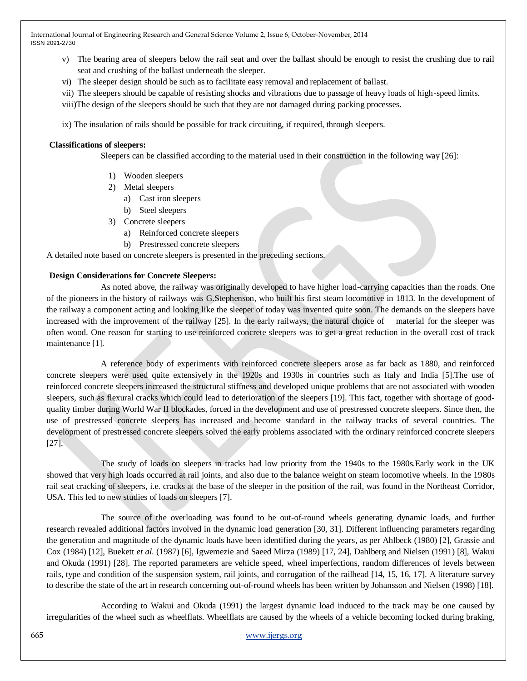- v) The bearing area of sleepers below the rail seat and over the ballast should be enough to resist the crushing due to rail seat and crushing of the ballast underneath the sleeper.
- vi) The sleeper design should be such as to facilitate easy removal and replacement of ballast.
- vii) The sleepers should be capable of resisting shocks and vibrations due to passage of heavy loads of high-speed limits.

viii)The design of the sleepers should be such that they are not damaged during packing processes.

ix) The insulation of rails should be possible for track circuiting, if required, through sleepers.

## **Classifications of sleepers:**

Sleepers can be classified according to the material used in their construction in the following way [26]:

- 1) Wooden sleepers
- 2) Metal sleepers
	- a) Cast iron sleepers
	- b) Steel sleepers
- 3) Concrete sleepers
	- a) Reinforced concrete sleepers
	- b) Prestressed concrete sleepers

A detailed note based on concrete sleepers is presented in the preceding sections.

## **Design Considerations for Concrete Sleepers:**

As noted above, the railway was originally developed to have higher load-carrying capacities than the roads. One of the pioneers in the history of railways was G.Stephenson, who built his first steam locomotive in 1813. In the development of the railway a component acting and looking like the sleeper of today was invented quite soon. The demands on the sleepers have increased with the improvement of the railway [25]. In the early railways, the natural choice of material for the sleeper was often wood. One reason for starting to use reinforced concrete sleepers was to get a great reduction in the overall cost of track maintenance [1].

A reference body of experiments with reinforced concrete sleepers arose as far back as 1880, and reinforced concrete sleepers were used quite extensively in the 1920s and 1930s in countries such as Italy and India [5].The use of reinforced concrete sleepers increased the structural stiffness and developed unique problems that are not associated with wooden sleepers, such as flexural cracks which could lead to deterioration of the sleepers [19]. This fact, together with shortage of goodquality timber during World War II blockades, forced in the development and use of prestressed concrete sleepers. Since then, the use of prestressed concrete sleepers has increased and become standard in the railway tracks of several countries. The development of prestressed concrete sleepers solved the early problems associated with the ordinary reinforced concrete sleepers [27].

The study of loads on sleepers in tracks had low priority from the 1940s to the 1980s.Early work in the UK showed that very high loads occurred at rail joints, and also due to the balance weight on steam locomotive wheels. In the 1980s rail seat cracking of sleepers, i.e. cracks at the base of the sleeper in the position of the rail, was found in the Northeast Corridor, USA. This led to new studies of loads on sleepers [7].

The source of the overloading was found to be out-of-round wheels generating dynamic loads, and further research revealed additional factors involved in the dynamic load generation [30, 31]. Different influencing parameters regarding the generation and magnitude of the dynamic loads have been identified during the years, as per Ahlbeck (1980) [2], Grassie and Cox (1984) [12], Buekett *et al*. (1987) [6], Igwemezie and Saeed Mirza (1989) [17, 24], Dahlberg and Nielsen (1991) [8], Wakui and Okuda (1991) [28]. The reported parameters are vehicle speed, wheel imperfections, random differences of levels between rails, type and condition of the suspension system, rail joints, and corrugation of the railhead [14, 15, 16, 17]. A literature survey to describe the state of the art in research concerning out-of-round wheels has been written by Johansson and Nielsen (1998) [18].

According to Wakui and Okuda (1991) the largest dynamic load induced to the track may be one caused by irregularities of the wheel such as wheelflats. Wheelflats are caused by the wheels of a vehicle becoming locked during braking,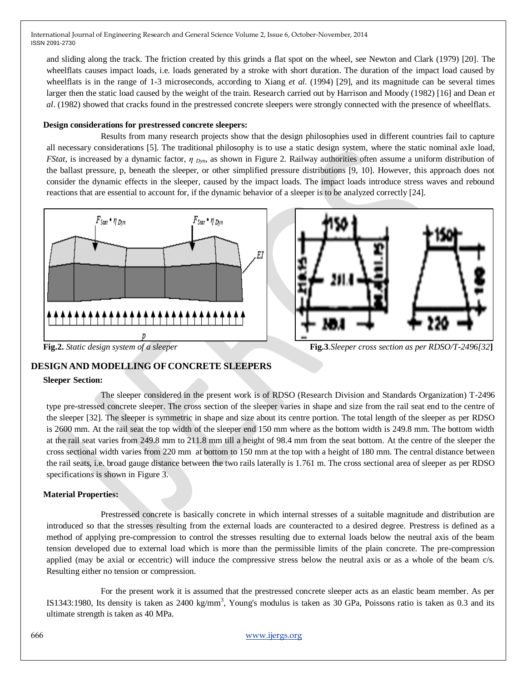and sliding along the track. The friction created by this grinds a flat spot on the wheel, see Newton and Clark (1979) [20]. The wheelflats causes impact loads, i.e. loads generated by a stroke with short duration. The duration of the impact load caused by wheelflats is in the range of 1-3 microseconds, according to Xiang *et al*. (1994) [29], and its magnitude can be several times larger then the static load caused by the weight of the train. Research carried out by Harrison and Moody (1982) [16] and Dean *et al*. (1982) showed that cracks found in the prestressed concrete sleepers were strongly connected with the presence of wheelflats.

#### **Design considerations for prestressed concrete sleepers:**

Results from many research projects show that the design philosophies used in different countries fail to capture all necessary considerations [5]. The traditional philosophy is to use a static design system, where the static nominal axle load, *FStat*, is increased by a dynamic factor, *η Dyn*, as shown in Figure 2. Railway authorities often assume a uniform distribution of the ballast pressure, p, beneath the sleeper, or other simplified pressure distributions [9, 10]. However, this approach does not consider the dynamic effects in the sleeper, caused by the impact loads. The impact loads introduce stress waves and rebound reactions that are essential to account for, if the dynamic behavior of a sleeper is to be analyzed correctly [24].





**Fig.3***. Static design system of a sleeper* **Fig.3***. Sleeper cross section as per RDSO/T-2496[32]* 

# **DESIGN AND MODELLING OF CONCRETE SLEEPERS**

#### **Sleeper Section:**

The sleeper considered in the present work is of RDSO (Research Division and Standards Organization) T-2496 type pre-stressed concrete sleeper. The cross section of the sleeper varies in shape and size from the rail seat end to the centre of the sleeper [32]. The sleeper is symmetric in shape and size about its centre portion. The total length of the sleeper as per RDSO is 2600 mm. At the rail seat the top width of the sleeper end 150 mm where as the bottom width is 249.8 mm. The bottom width at the rail seat varies from 249.8 mm to 211.8 mm till a height of 98.4 mm from the seat bottom. At the centre of the sleeper the cross sectional width varies from 220 mm at bottom to 150 mm at the top with a height of 180 mm. The central distance between the rail seats, i.e. broad gauge distance between the two rails laterally is 1.761 m. The cross sectional area of sleeper as per RDSO specifications is shown in Figure 3.

## **Material Properties:**

Prestressed concrete is basically concrete in which internal stresses of a suitable magnitude and distribution are introduced so that the stresses resulting from the external loads are counteracted to a desired degree. Prestress is defined as a method of applying pre-compression to control the stresses resulting due to external loads below the neutral axis of the beam tension developed due to external load which is more than the permissible limits of the plain concrete. The pre-compression applied (may be axial or eccentric) will induce the compressive stress below the neutral axis or as a whole of the beam c/s. Resulting either no tension or compression.

For the present work it is assumed that the prestressed concrete sleeper acts as an elastic beam member. As per IS1343:1980, Its density is taken as  $2400 \text{ kg/mm}^3$ , Young's modulus is taken as 30 GPa, Poissons ratio is taken as 0.3 and its ultimate strength is taken as 40 MPa.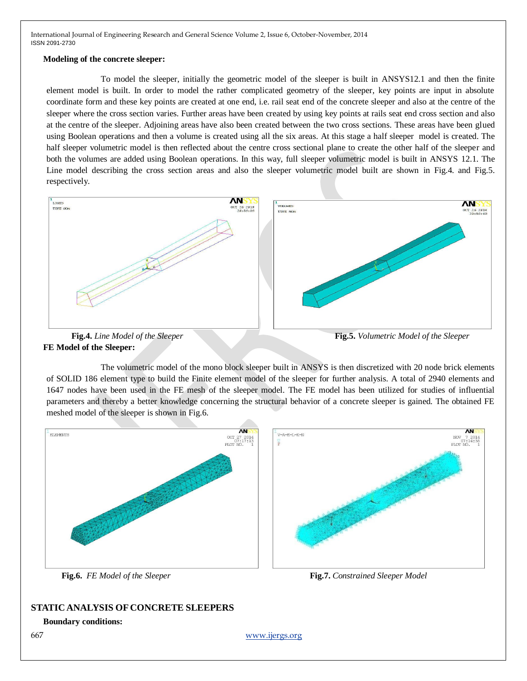#### **Modeling of the concrete sleeper:**

To model the sleeper, initially the geometric model of the sleeper is built in ANSYS12.1 and then the finite element model is built. In order to model the rather complicated geometry of the sleeper, key points are input in absolute coordinate form and these key points are created at one end, i.e. rail seat end of the concrete sleeper and also at the centre of the sleeper where the cross section varies. Further areas have been created by using key points at rails seat end cross section and also at the centre of the sleeper. Adjoining areas have also been created between the two cross sections. These areas have been glued using Boolean operations and then a volume is created using all the six areas. At this stage a half sleeper model is created. The half sleeper volumetric model is then reflected about the centre cross sectional plane to create the other half of the sleeper and both the volumes are added using Boolean operations. In this way, full sleeper volumetric model is built in ANSYS 12.1. The Line model describing the cross section areas and also the sleeper volumetric model built are shown in Fig.4. and Fig.5. respectively.





**Fig.4.** *Line Model of the Sleeper* **Fig.5.** *Volumetric Model of the Sleeper* 

The volumetric model of the mono block sleeper built in ANSYS is then discretized with 20 node brick elements of SOLID 186 element type to build the Finite element model of the sleeper for further analysis. A total of 2940 elements and 1647 nodes have been used in the FE mesh of the sleeper model. The FE model has been utilized for studies of influential parameters and thereby a better knowledge concerning the structural behavior of a concrete sleeper is gained. The obtained FE meshed model of the sleeper is shown in Fig.6.



# **STATIC ANALYSIS OF CONCRETE SLEEPERS**

## **Boundary conditions:**

667 www.ijergs.org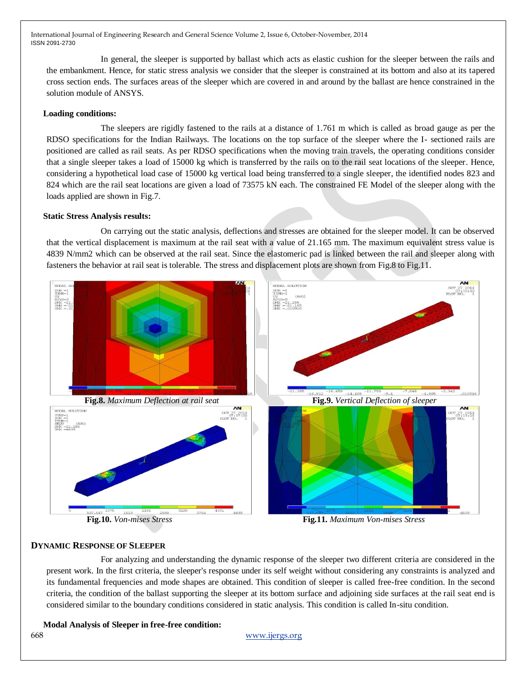In general, the sleeper is supported by ballast which acts as elastic cushion for the sleeper between the rails and the embankment. Hence, for static stress analysis we consider that the sleeper is constrained at its bottom and also at its tapered cross section ends. The surfaces areas of the sleeper which are covered in and around by the ballast are hence constrained in the solution module of ANSYS.

#### **Loading conditions:**

The sleepers are rigidly fastened to the rails at a distance of 1.761 m which is called as broad gauge as per the RDSO specifications for the Indian Railways. The locations on the top surface of the sleeper where the I- sectioned rails are positioned are called as rail seats. As per RDSO specifications when the moving train travels, the operating conditions consider that a single sleeper takes a load of 15000 kg which is transferred by the rails on to the rail seat locations of the sleeper. Hence, considering a hypothetical load case of 15000 kg vertical load being transferred to a single sleeper, the identified nodes 823 and 824 which are the rail seat locations are given a load of 73575 kN each. The constrained FE Model of the sleeper along with the loads applied are shown in Fig.7.

#### **Static Stress Analysis results:**

On carrying out the static analysis, deflections and stresses are obtained for the sleeper model. It can be observed that the vertical displacement is maximum at the rail seat with a value of 21.165 mm. The maximum equivalent stress value is 4839 N/mm2 which can be observed at the rail seat. Since the elastomeric pad is linked between the rail and sleeper along with fasteners the behavior at rail seat is tolerable. The stress and displacement plots are shown from Fig.8 to Fig.11.



# **DYNAMIC RESPONSE OF SLEEPER**

For analyzing and understanding the dynamic response of the sleeper two different criteria are considered in the present work. In the first criteria, the sleeper's response under its self weight without considering any constraints is analyzed and its fundamental frequencies and mode shapes are obtained. This condition of sleeper is called free-free condition. In the second criteria, the condition of the ballast supporting the sleeper at its bottom surface and adjoining side surfaces at the rail seat end is considered similar to the boundary conditions considered in static analysis. This condition is called In-situ condition.

# **Modal Analysis of Sleeper in free-free condition:**

#### 668 www.ijergs.org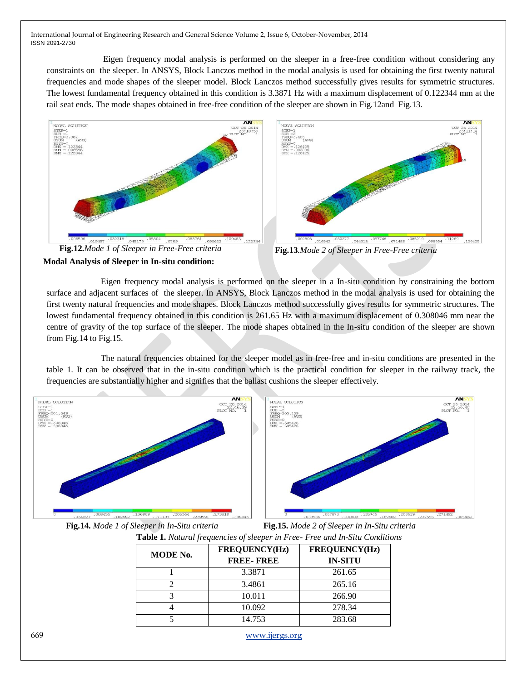Eigen frequency modal analysis is performed on the sleeper in a free-free condition without considering any constraints on the sleeper. In ANSYS, Block Lanczos method in the modal analysis is used for obtaining the first twenty natural frequencies and mode shapes of the sleeper model. Block Lanczos method successfully gives results for symmetric structures. The lowest fundamental frequency obtained in this condition is 3.3871 Hz with a maximum displacement of 0.122344 mm at the rail seat ends. The mode shapes obtained in free-free condition of the sleeper are shown in Fig.12and Fig.13.





Eigen frequency modal analysis is performed on the sleeper in a In-situ condition by constraining the bottom surface and adjacent surfaces of the sleeper. In ANSYS, Block Lanczos method in the modal analysis is used for obtaining the first twenty natural frequencies and mode shapes. Block Lanczos method successfully gives results for symmetric structures. The lowest fundamental frequency obtained in this condition is 261.65 Hz with a maximum displacement of 0.308046 mm near the centre of gravity of the top surface of the sleeper. The mode shapes obtained in the In-situ condition of the sleeper are shown from Fig.14 to Fig.15.

The natural frequencies obtained for the sleeper model as in free-free and in-situ conditions are presented in the table 1. It can be observed that in the in-situ condition which is the practical condition for sleeper in the railway track, the frequencies are substantially higher and signifies that the ballast cushions the sleeper effectively.



**Fig.14.** *Mode 1 of Sleeper in In-Situ criteria* **Fig.15.** *Mode 2 of Sleeper in In-Situ criteria*

**Table 1.** *Natural frequencies of sleeper in Free- Free and In-Situ Conditions*

| MODE No. | <b>FREQUENCY(Hz)</b> | <b>FREQUENCY(Hz)</b> |
|----------|----------------------|----------------------|
|          | <b>FREE-FREE</b>     | <b>IN-SITU</b>       |
|          | 3.3871               | 261.65               |
|          | 3.4861               | 265.16               |
|          | 10.011               | 266.90               |
|          | 10.092               | 278.34               |
|          | 14.753               | 283.68               |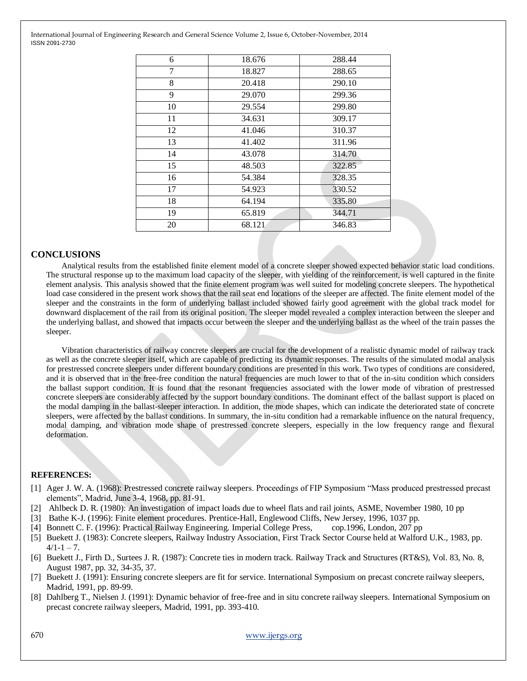| 6  | 18.676 | 288.44 |
|----|--------|--------|
| 7  | 18.827 | 288.65 |
| 8  | 20.418 | 290.10 |
| 9  | 29.070 | 299.36 |
| 10 | 29.554 | 299.80 |
| 11 | 34.631 | 309.17 |
| 12 | 41.046 | 310.37 |
| 13 | 41.402 | 311.96 |
| 14 | 43.078 | 314.70 |
| 15 | 48.503 | 322.85 |
| 16 | 54.384 | 328.35 |
| 17 | 54.923 | 330.52 |
| 18 | 64.194 | 335.80 |
| 19 | 65.819 | 344.71 |
| 20 | 68.121 | 346.83 |
|    |        |        |

## **CONCLUSIONS**

Analytical results from the established finite element model of a concrete sleeper showed expected behavior static load conditions. The structural response up to the maximum load capacity of the sleeper, with yielding of the reinforcement, is well captured in the finite element analysis. This analysis showed that the finite element program was well suited for modeling concrete sleepers. The hypothetical load case considered in the present work shows that the rail seat end locations of the sleeper are affected. The finite element model of the sleeper and the constraints in the form of underlying ballast included showed fairly good agreement with the global track model for downward displacement of the rail from its original position. The sleeper model revealed a complex interaction between the sleeper and the underlying ballast, and showed that impacts occur between the sleeper and the underlying ballast as the wheel of the train passes the sleeper.

Vibration characteristics of railway concrete sleepers are crucial for the development of a realistic dynamic model of railway track as well as the concrete sleeper itself, which are capable of predicting its dynamic responses. The results of the simulated modal analysis for prestressed concrete sleepers under different boundary conditions are presented in this work. Two types of conditions are considered, and it is observed that in the free-free condition the natural frequencies are much lower to that of the in-situ condition which considers the ballast support condition. It is found that the resonant frequencies associated with the lower mode of vibration of prestressed concrete sleepers are considerably affected by the support boundary conditions. The dominant effect of the ballast support is placed on the modal damping in the ballast-sleeper interaction. In addition, the mode shapes, which can indicate the deteriorated state of concrete sleepers, were affected by the ballast conditions. In summary, the in-situ condition had a remarkable influence on the natural frequency, modal damping, and vibration mode shape of prestressed concrete sleepers, especially in the low frequency range and flexural deformation.

#### **REFERENCES:**

- [1] Ager J. W. A. (1968): Prestressed concrete railway sleepers. Proceedings of FIP Symposium "Mass produced prestressed precast elements", Madrid, June 3-4, 1968, pp. 81-91.
- [2] Ahlbeck D. R. (1980): An investigation of impact loads due to wheel flats and rail joints, ASME, November 1980, 10 pp
- [3] Bathe K-J. (1996): Finite element procedures. Prentice-Hall, Englewood Cliffs, New Jersey, 1996, 1037 pp.
- [4] Bonnett C. F. (1996): Practical Railway Engineering. Imperial College Press, cop.1996, London, 207 pp
- [5] Buekett J. (1983): Concrete sleepers, Railway Industry Association, First Track Sector Course held at Walford U.K., 1983, pp.  $4/1-1-7$ .
- [6] Buekett J., Firth D., Surtees J. R. (1987): Concrete ties in modern track. Railway Track and Structures (RT&S), Vol. 83, No. 8, August 1987, pp. 32, 34-35, 37.
- [7] Buekett J. (1991): Ensuring concrete sleepers are fit for service. International Symposium on precast concrete railway sleepers, Madrid, 1991, pp. 89-99.
- [8] Dahlberg T., Nielsen J. (1991): Dynamic behavior of free-free and in situ concrete railway sleepers. International Symposium on precast concrete railway sleepers, Madrid, 1991, pp. 393-410.